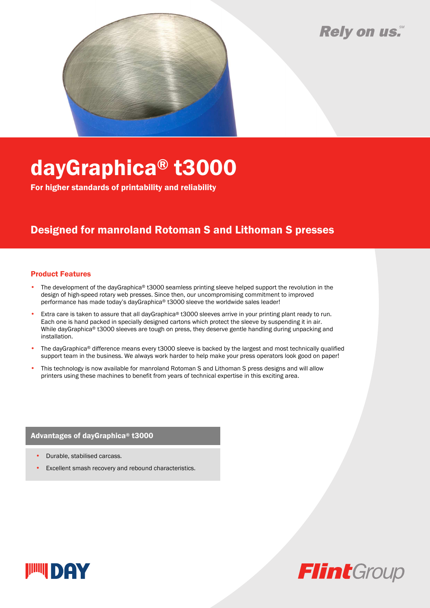## Rely on us.



# dayGraphica® t3000

For higher standards of printability and reliability

### Designed for manroland Rotoman S and Lithoman S presses

#### Product Features

- The development of the dayGraphica® t3000 seamless printing sleeve helped support the revolution in the design of high-speed rotary web presses. Since then, our uncompromising commitment to improved performance has made today's dayGraphica® t3000 sleeve the worldwide sales leader!
- Extra care is taken to assure that all dayGraphica® t3000 sleeves arrive in your printing plant ready to run. Each one is hand packed in specially designed cartons which protect the sleeve by suspending it in air. While dayGraphica® t3000 sleeves are tough on press, they deserve gentle handling during unpacking and installation.
- The dayGraphica® difference means every t3000 sleeve is backed by the largest and most technically qualified support team in the business. We always work harder to help make your press operators look good on paper!
- This technology is now available for manroland Rotoman S and Lithoman S press designs and will allow printers using these machines to benefit from years of technical expertise in this exciting area.

#### Advantages of dayGraphica® t3000

- Durable, stabilised carcass.
- Excellent smash recovery and rebound characteristics.